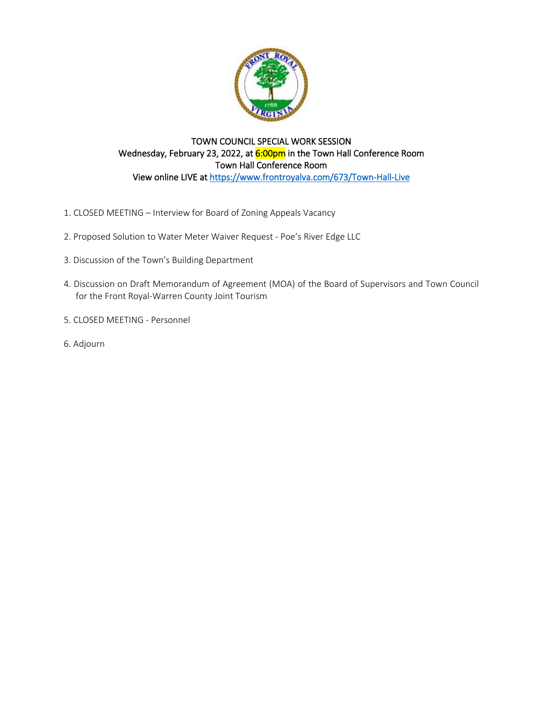

## TOWN COUNCIL SPECIAL WORK SESSION Wednesday, February 23, 2022, at 6:00pm in the Town Hall Conference Room Town Hall Conference Room View online LIVE a[t https://www.frontroyalva.com/673/Town-Hall-Live](https://www.frontroyalva.com/673/Town-Hall-Live)

- [1. CLOSED MEETING Interview for Board of Zoning Appeals](#page-1-0) Vacancy
- 2. Proposed Solution to [Water Meter Waiver Request Poe's River Edge LLC](#page-2-0)
- 3. [Discussion of the Town's Building Department](#page-3-0)
- 4. [Discussion on Draft Memorandum of Agreement \(MOA\) of the Board of Supervisors and Town Council](#page-4-0) for the Front Royal-Warren County Joint Tourism
- 5. [CLOSED MEETING Personnel](#page-10-0)
- 6. Adjourn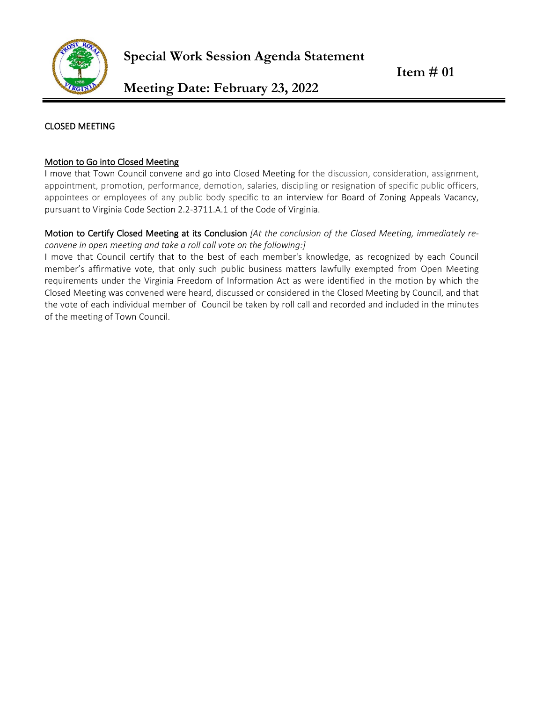<span id="page-1-0"></span>

#### CLOSED MEETING

#### Motion to Go into Closed Meeting

I move that Town Council convene and go into Closed Meeting for the discussion, consideration, assignment, appointment, promotion, performance, demotion, salaries, discipling or resignation of specific public officers, appointees or employees of any public body specific to an interview for Board of Zoning Appeals Vacancy, pursuant to Virginia Code Section 2.2-3711.A.1 of the Code of Virginia.

#### Motion to Certify Closed Meeting at its Conclusion *[At the conclusion of the Closed Meeting, immediately reconvene in open meeting and take a roll call vote on the following:]*

I move that Council certify that to the best of each member's knowledge, as recognized by each Council member's affirmative vote, that only such public business matters lawfully exempted from Open Meeting requirements under the Virginia Freedom of Information Act as were identified in the motion by which the Closed Meeting was convened were heard, discussed or considered in the Closed Meeting by Council, and that the vote of each individual member of Council be taken by roll call and recorded and included in the minutes of the meeting of Town Council.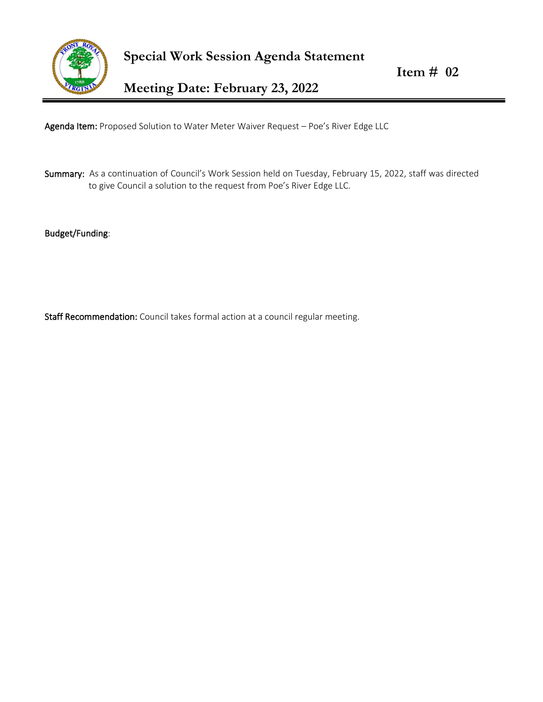<span id="page-2-0"></span>

 **Item # 02** 

**Meeting Date: February 23, 2022**

Agenda Item: Proposed Solution to Water Meter Waiver Request - Poe's River Edge LLC

Summary: As a continuation of Council's Work Session held on Tuesday, February 15, 2022, staff was directed to give Council a solution to the request from Poe's River Edge LLC.

Budget/Funding:

Staff Recommendation: Council takes formal action at a council regular meeting.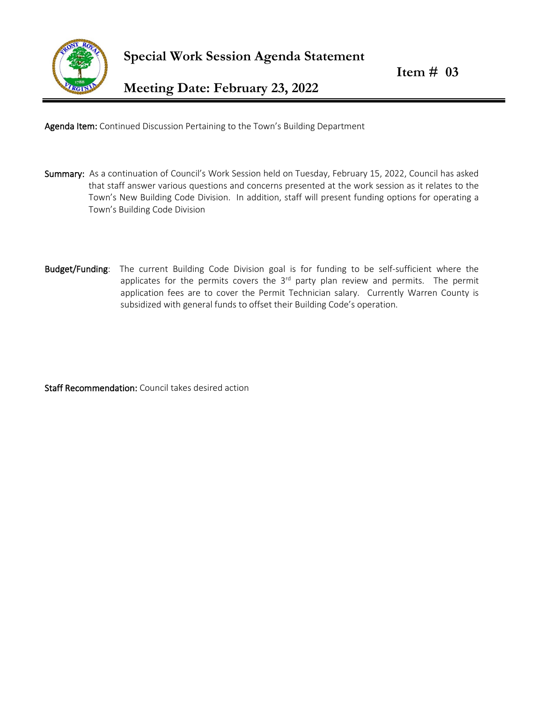<span id="page-3-0"></span>

Agenda Item: Continued Discussion Pertaining to the Town's Building Department

- Summary: As a continuation of Council's Work Session held on Tuesday, February 15, 2022, Council has asked that staff answer various questions and concerns presented at the work session as it relates to the Town's New Building Code Division. In addition, staff will present funding options for operating a Town's Building Code Division
- Budget/Funding: The current Building Code Division goal is for funding to be self-sufficient where the applicates for the permits covers the  $3<sup>rd</sup>$  party plan review and permits. The permit application fees are to cover the Permit Technician salary. Currently Warren County is subsidized with general funds to offset their Building Code's operation.

Staff Recommendation: Council takes desired action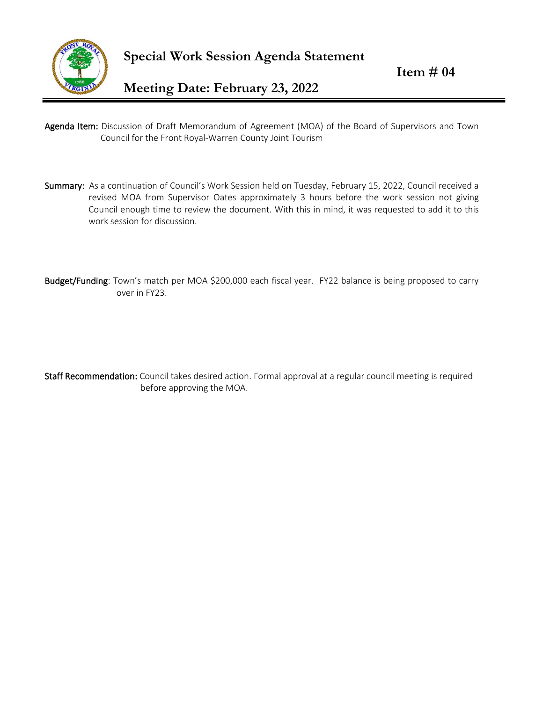<span id="page-4-0"></span>

- Agenda Item: Discussion of Draft Memorandum of Agreement (MOA) of the Board of Supervisors and Town Council for the Front Royal-Warren County Joint Tourism
- Summary: As a continuation of Council's Work Session held on Tuesday, February 15, 2022, Council received a revised MOA from Supervisor Oates approximately 3 hours before the work session not giving Council enough time to review the document. With this in mind, it was requested to add it to this work session for discussion.
- Budget/Funding: Town's match per MOA \$200,000 each fiscal year. FY22 balance is being proposed to carry over in FY23.

Staff Recommendation: Council takes desired action. Formal approval at a regular council meeting is required before approving the MOA.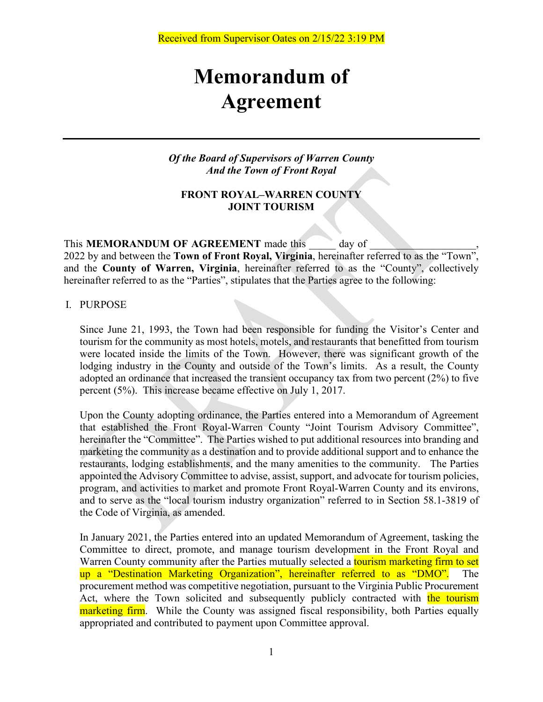# **Memorandum of Agreement**

*Of the Board of Supervisors of Warren County And the Town of Front Royal*

### **FRONT ROYAL–WARREN COUNTY JOINT TOURISM**

This **MEMORANDUM OF AGREEMENT** made this day of

2022 by and between the **Town of Front Royal, Virginia**, hereinafter referred to as the "Town", and the **County of Warren, Virginia**, hereinafter referred to as the "County", collectively hereinafter referred to as the "Parties", stipulates that the Parties agree to the following:

I. PURPOSE

Since June 21, 1993, the Town had been responsible for funding the Visitor's Center and tourism for the community as most hotels, motels, and restaurants that benefitted from tourism were located inside the limits of the Town. However, there was significant growth of the lodging industry in the County and outside of the Town's limits. As a result, the County adopted an ordinance that increased the transient occupancy tax from two percent (2%) to five percent (5%). This increase became effective on July 1, 2017.

Upon the County adopting ordinance, the Parties entered into a Memorandum of Agreement that established the Front Royal-Warren County "Joint Tourism Advisory Committee", hereinafter the "Committee". The Parties wished to put additional resources into branding and marketing the community as a destination and to provide additional support and to enhance the restaurants, lodging establishments, and the many amenities to the community. The Parties appointed the Advisory Committee to advise, assist, support, and advocate for tourism policies, program, and activities to market and promote Front Royal-Warren County and its environs, and to serve as the "local tourism industry organization" referred to in Section 58.1-3819 of the Code of Virginia, as amended.

In January 2021, the Parties entered into an updated Memorandum of Agreement, tasking the Committee to direct, promote, and manage tourism development in the Front Royal and Warren County community after the Parties mutually selected a **tourism marketing firm to set** up a "Destination Marketing Organization", hereinafter referred to as "DMO". The procurement method was competitive negotiation, pursuant to the Virginia Public Procurement Act, where the Town solicited and subsequently publicly contracted with the tourism marketing firm. While the County was assigned fiscal responsibility, both Parties equally appropriated and contributed to payment upon Committee approval.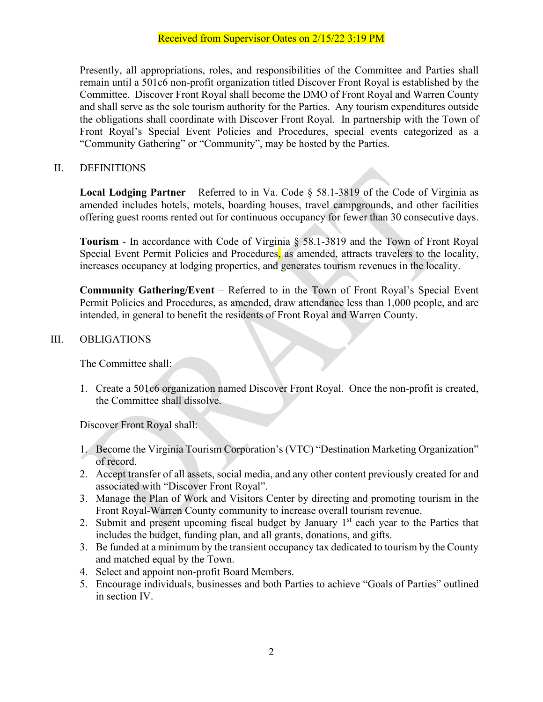Presently, all appropriations, roles, and responsibilities of the Committee and Parties shall remain until a 501c6 non-profit organization titled Discover Front Royal is established by the Committee. Discover Front Royal shall become the DMO of Front Royal and Warren County and shall serve as the sole tourism authority for the Parties. Any tourism expenditures outside the obligations shall coordinate with Discover Front Royal. In partnership with the Town of Front Royal's Special Event Policies and Procedures, special events categorized as a "Community Gathering" or "Community", may be hosted by the Parties.

## II. DEFINITIONS

**Local Lodging Partner** – Referred to in Va. Code § 58.1-3819 of the Code of Virginia as amended includes hotels, motels, boarding houses, travel campgrounds, and other facilities offering guest rooms rented out for continuous occupancy for fewer than 30 consecutive days.

**Tourism** - In accordance with Code of Virginia § 58.1-3819 and the Town of Front Royal Special Event Permit Policies and Procedures, as amended, attracts travelers to the locality, increases occupancy at lodging properties, and generates tourism revenues in the locality.

**Community Gathering/Event** – Referred to in the Town of Front Royal's Special Event Permit Policies and Procedures, as amended, draw attendance less than 1,000 people, and are intended, in general to benefit the residents of Front Royal and Warren County.

# III. OBLIGATIONS

The Committee shall:

1. Create a 501c6 organization named Discover Front Royal. Once the non-profit is created, the Committee shall dissolve.

Discover Front Royal shall:

- 1. Become the Virginia Tourism Corporation's (VTC) "Destination Marketing Organization" of record.
- 2. Accept transfer of all assets, social media, and any other content previously created for and associated with "Discover Front Royal".
- 3. Manage the Plan of Work and Visitors Center by directing and promoting tourism in the Front Royal-Warren County community to increase overall tourism revenue.
- 2. Submit and present upcoming fiscal budget by January  $1<sup>st</sup>$  each year to the Parties that includes the budget, funding plan, and all grants, donations, and gifts.
- 3. Be funded at a minimum by the transient occupancy tax dedicated to tourism by the County and matched equal by the Town.
- 4. Select and appoint non-profit Board Members.
- 5. Encourage individuals, businesses and both Parties to achieve "Goals of Parties" outlined in section IV.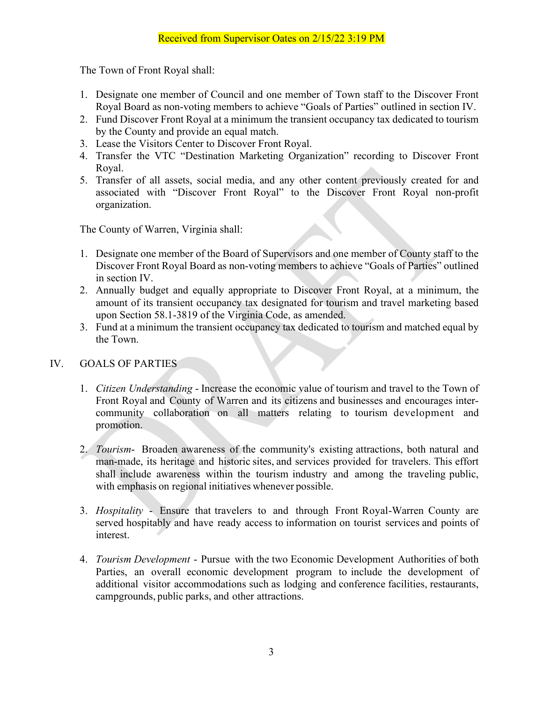The Town of Front Royal shall:

- 1. Designate one member of Council and one member of Town staff to the Discover Front Royal Board as non-voting members to achieve "Goals of Parties" outlined in section IV.
- 2. Fund Discover Front Royal at a minimum the transient occupancy tax dedicated to tourism by the County and provide an equal match.
- 3. Lease the Visitors Center to Discover Front Royal.
- 4. Transfer the VTC "Destination Marketing Organization" recording to Discover Front Royal.
- 5. Transfer of all assets, social media, and any other content previously created for and associated with "Discover Front Royal" to the Discover Front Royal non-profit organization.

The County of Warren, Virginia shall:

- 1. Designate one member of the Board of Supervisors and one member of County staff to the Discover Front Royal Board as non-voting members to achieve "Goals of Parties" outlined in section IV.
- 2. Annually budget and equally appropriate to Discover Front Royal, at a minimum, the amount of its transient occupancy tax designated for tourism and travel marketing based upon Section 58.1-3819 of the Virginia Code, as amended.
- 3. Fund at a minimum the transient occupancy tax dedicated to tourism and matched equal by the Town.

# IV. GOALS OF PARTIES

- 1. *Citizen Understanding* Increase the economic value of tourism and travel to the Town of Front Royal and County of Warren and its citizens and businesses and encourages intercommunity collaboration on all matters relating to tourism development and promotion.
- 2. *Tourism* Broaden awareness of the community's existing attractions, both natural and man-made, its heritage and historic sites, and services provided for travelers. This effort shall include awareness within the tourism industry and among the traveling public, with emphasis on regional initiatives whenever possible.
- 3. *Hospitality* Ensure that travelers to and through Front Royal-Warren County are served hospitably and have ready access to information on tourist services and points of interest.
- 4. *Tourism Development* Pursue with the two Economic Development Authorities of both Parties, an overall economic development program to include the development of additional visitor accommodations such as lodging and conference facilities, restaurants, campgrounds, public parks, and other attractions.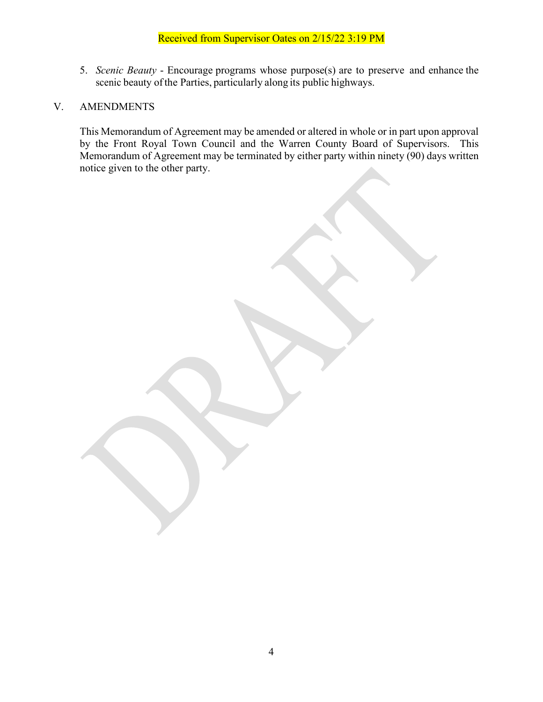## Received from Supervisor Oates on 2/15/22 3:19 PM

5. *Scenic Beauty* - Encourage programs whose purpose(s) are to preserve and enhance the scenic beauty of the Parties, particularly along its public highways.

#### V. AMENDMENTS

This Memorandum of Agreement may be amended or altered in whole or in part upon approval by the Front Royal Town Council and the Warren County Board of Supervisors. This Memorandum of Agreement may be terminated by either party within ninety (90) days written notice given to the other party.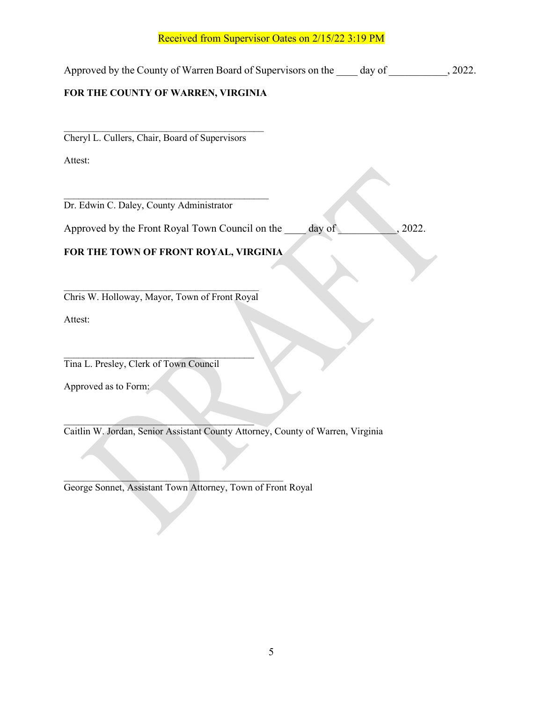#### Received from Supervisor Oates on 2/15/22 3:19 PM

Approved by the County of Warren Board of Supervisors on the day of 3022.

## **FOR THE COUNTY OF WARREN, VIRGINIA**

 $\mathcal{L}_\text{max}$  , and the contract of the contract of the contract of the contract of the contract of the contract of the contract of the contract of the contract of the contract of the contract of the contract of the contr Cheryl L. Cullers, Chair, Board of Supervisors

Attest:

 $\mathcal{L}_\text{max}$  , where  $\mathcal{L}_\text{max}$  is the set of the set of the set of the set of the set of the set of the set of the set of the set of the set of the set of the set of the set of the set of the set of the set of the se Dr. Edwin C. Daley, County Administrator

Approved by the Front Royal Town Council on the day of the  $\sim$ , 2022.

## **FOR THE TOWN OF FRONT ROYAL, VIRGINIA**

 $\mathcal{L}_\text{max}$  , where  $\mathcal{L}_\text{max}$  , we are the set of the set of the set of the set of the set of the set of the set of the set of the set of the set of the set of the set of the set of the set of the set of the set of Chris W. Holloway, Mayor, Town of Front Royal

Attest:

 $\mathcal{L}_\text{max}$  and  $\mathcal{L}_\text{max}$  and  $\mathcal{L}_\text{max}$  and  $\mathcal{L}_\text{max}$ Tina L. Presley, Clerk of Town Council

Approved as to Form:

 $\mathcal{L}=\mathcal{L}=\mathcal{L}=\mathcal{L}=\mathcal{L}=\mathcal{L}=\mathcal{L}=\mathcal{L}=\mathcal{L}=\mathcal{L}=\mathcal{L}=\mathcal{L}=\mathcal{L}=\mathcal{L}=\mathcal{L}=\mathcal{L}=\mathcal{L}=\mathcal{L}=\mathcal{L}=\mathcal{L}=\mathcal{L}=\mathcal{L}=\mathcal{L}=\mathcal{L}=\mathcal{L}=\mathcal{L}=\mathcal{L}=\mathcal{L}=\mathcal{L}=\mathcal{L}=\mathcal{L}=\mathcal{L}=\mathcal{L}=\mathcal{L}=\mathcal{L}=\mathcal{L}=\mathcal{$ Caitlin W. Jordan, Senior Assistant County Attorney, County of Warren, Virginia

 $\overline{\phantom{a}}$  , and the set of the set of the set of the set of the set of the set of the set of the set of the set of the set of the set of the set of the set of the set of the set of the set of the set of the set of the s George Sonnet, Assistant Town Attorney, Town of Front Royal